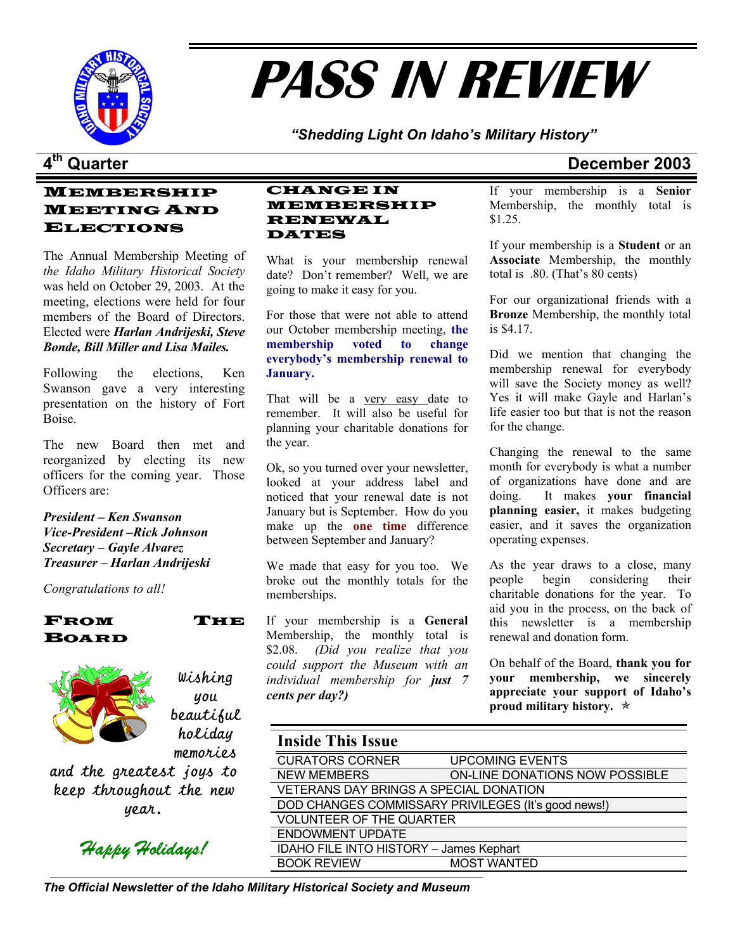

# **PASS IN REVIEW**

*"Shedding Light On Idaho's Military History"* 

### MEMBERSHIP MEETING AND ELECTIONS

The Annual Membership Meeting of *the Idaho Military Historical Society* was held on October 29, 2003. At the meeting, elections were held for four members of the Board of Directors. Elected were *Harlan Andrijeski, Steve Bonde, Bill Miller and Lisa Mailes.*

Following the elections, Ken Swanson gave a very interesting presentation on the history of Fort Boise.

The new Board then met and the year. reorganized by electing its new officers for the coming year. Those Officers are:

*President – Ken Swanson Vice-President –Rick Johnson Secretary – Gayle Alvarez* 

memberships. *Congratulations to all!* 





Wishing you beautiful holiday

memories and the greatest joys to keep throughout the new year.

*Happy Holidays!* 

#### CHANGE IN MEMBERSHIP RENEWAL DATES

What is your membership renewal date? Don't remember? Well, we are going to make it easy for you. For our organizational friends with a

For those that were not able to attend our October membership meeting, **the membership voted to change everybody's membership renewal to January.** 

That will be a very easy date to remember. It will also be useful for planning your charitable donations for

Ok, so you turned over your newsletter, looked at your address label and noticed that your renewal date is not January but is September. How do you make up the **one time** difference between September and January?

**Treasurer – Harlan Andrijeski** We made that easy for you too. We As the year draws to a close, many broke out the monthly totals for the

> If your membership is a **General**  Membership, the monthly total is \$2.08. *(Did you realize that you could support the Museum with an* On behalf of the Board, **thank you for**  $\alpha$ *individual membership for just 7 cents per day?)*

## **4th Quarter December 2003**

If your membership is a **Senior**  Membership, the monthly total is \$1.25.

If your membership is a **Student** or an **Associate** Membership, the monthly total is .80. (That's 80 cents)

**Bronze** Membership, the monthly total is \$4.17.

Did we mention that changing the membership renewal for everybody will save the Society money as well? Yes it will make Gayle and Harlan's life easier too but that is not the reason for the change.

Changing the renewal to the same month for everybody is what a number of organizations have done and are doing. It makes **your financial planning easier,** it makes budgeting easier, and it saves the organization operating expenses.

people begin considering their charitable donations for the year. To aid you in the process, on the back of this newsletter is a membership renewal and donation form.

**your membership, we sincerely appreciate your support of Idaho's proud military history.** Õ

### **Inside This Issue**

| <b>CURATORS CORNER</b>                              | <b>UPCOMING EVENTS</b>         |  |
|-----------------------------------------------------|--------------------------------|--|
| <b>NEW MEMBERS</b>                                  | ON-LINE DONATIONS NOW POSSIBLE |  |
| VETERANS DAY BRINGS A SPECIAL DONATION              |                                |  |
| DOD CHANGES COMMISSARY PRIVILEGES (It's good news!) |                                |  |
| <b>VOLUNTEER OF THE QUARTER</b>                     |                                |  |
| <b>ENDOWMENT UPDATE</b>                             |                                |  |
| IDAHO FILE INTO HISTORY - James Kephart             |                                |  |
| <b>BOOK REVIEW</b>                                  | <b>MOST WANTED</b>             |  |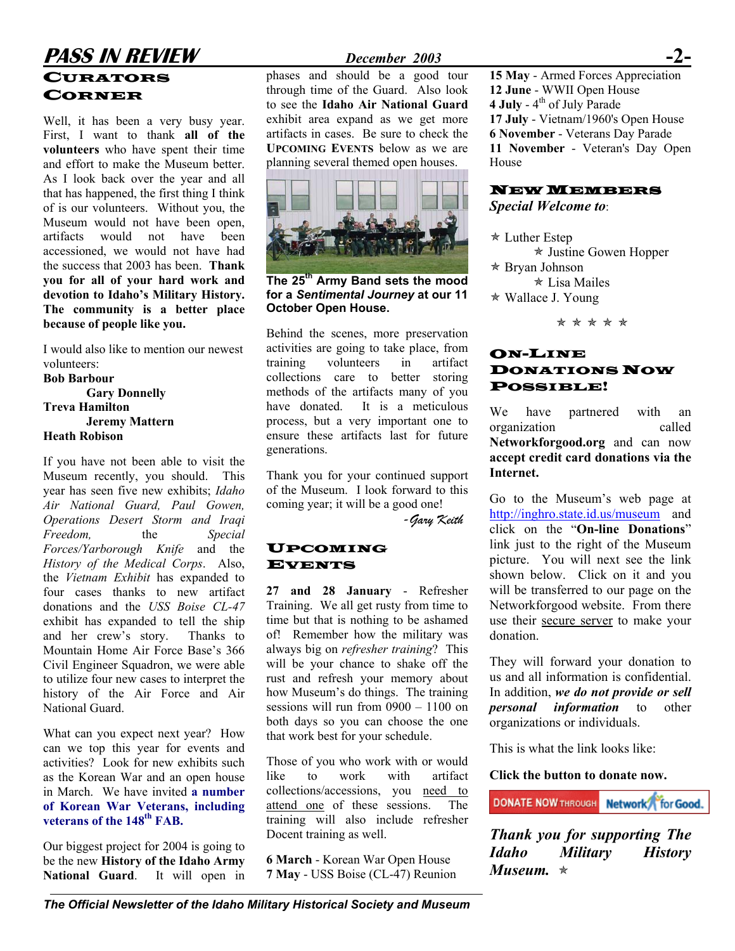# **PASS IN REVIEW** *December 2003* CORNER

Well, it has been a very busy year. First, I want to thank **all of the volunteers** who have spent their time and effort to make the Museum better. As I look back over the year and all that has happened, the first thing I think of is our volunteers. Without you, the Museum would not have been open. artifacts would not have been accessioned, we would not have had the success that 2003 has been. **Thank you for all of your hard work and devotion to Idaho's Military History. The community is a better place because of people like you.**

I would also like to mention our newest volunteers:

**Bob Barbour Gary Donnelly Treva Hamilton Jeremy Mattern Heath Robison** 

If you have not been able to visit the Museum recently, you should. This year has seen five new exhibits; *Idaho Air National Guard, Paul Gowen, Operations Desert Storm and Iraqi Freedom,* the *Special Forces/Yarborough Knife* and the *History of the Medical Corps*. Also, the *Vietnam Exhibit* has expanded to four cases thanks to new artifact donations and the *USS Boise CL-47* exhibit has expanded to tell the ship and her crew's story. Thanks to Mountain Home Air Force Base's 366 Civil Engineer Squadron, we were able to utilize four new cases to interpret the history of the Air Force and Air National Guard.

What can you expect next year? How can we top this year for events and activities? Look for new exhibits such as the Korean War and an open house in March. We have invited **a number of Korean War Veterans, including**  veterans of the 148<sup>th</sup> FAB.

Our biggest project for 2004 is going to be the new **History of the Idaho Army National Guard**. It will open in

through time of the Guard. Also look to see the **Idaho Air National Guard** exhibit area expand as we get more artifacts in cases. Be sure to check the **UPCOMING EVENTS** below as we are planning several themed open houses.



**The 25th Army Band sets the mood for a** *Sentimental Journey* **at our 11 October Open House.** 

Behind the scenes, more preservation activities are going to take place, from training volunteers in artifact collections care to better storing methods of the artifacts many of you have donated. It is a meticulous process, but a very important one to ensure these artifacts last for future generations.

Thank you for your continued support **Internet.** of the Museum. I look forward to this coming year; it will be a good one! Go to the Museum's web page at

*-Gary Keith* 

#### UPCOMING EVENTS

**27 and 28 January** - Refresher Training. We all get rusty from time to time but that is nothing to be ashamed of! Remember how the military was always big on *refresher training*? This will be your chance to shake off the rust and refresh your memory about how Museum's do things. The training sessions will run from 0900 – 1100 on both days so you can choose the one that work best for your schedule.

Those of you who work with or would like to work with artifact collections/accessions, you need to attend one of these sessions. The training will also include refresher Docent training as well.

**6 March** - Korean War Open House **7 May** - USS Boise (CL-47) Reunion

**CURATORS** phases and should be a good tour 15 May - Armed Forces Appreciation **12 June** - WWII Open House **4 July** - 4<sup>th</sup> of July Parade **17 July** - Vietnam/1960's Open House **6 November** - Veterans Day Parade **11 November** - Veteran's Day Open House

#### NEW MEMBERS *Special Welcome to*:

 $\star$  Luther Estep  $\star$  Justine Gowen Hopper  $*$  Bryan Johnson  $\star$  Lisa Mailes  $*$  Wallace J. Young

\* \* \* \* \*

### ON-LINE DONATIONS NOW POSSIBLE!

We have partnered with an organization called **Networkforgood.org** and can now **accept credit card donations via the**

<http://inghro.state.id.us/museum>and click on the "**On-line Donations**" link just to the right of the Museum picture. You will next see the link shown below. Click on it and you will be transferred to our page on the Networkforgood website. From there use their secure server to make your donation.

They will forward your donation to us and all information is confidential. In addition, *we do not provide or sell personal information* to other organizations or individuals.

This is what the link looks like:

**Click the button to donate now.**

**DONATE NOW THROUGH Network for Good.** 

*Thank you for supporting The Idaho Military History Museum.*  $*$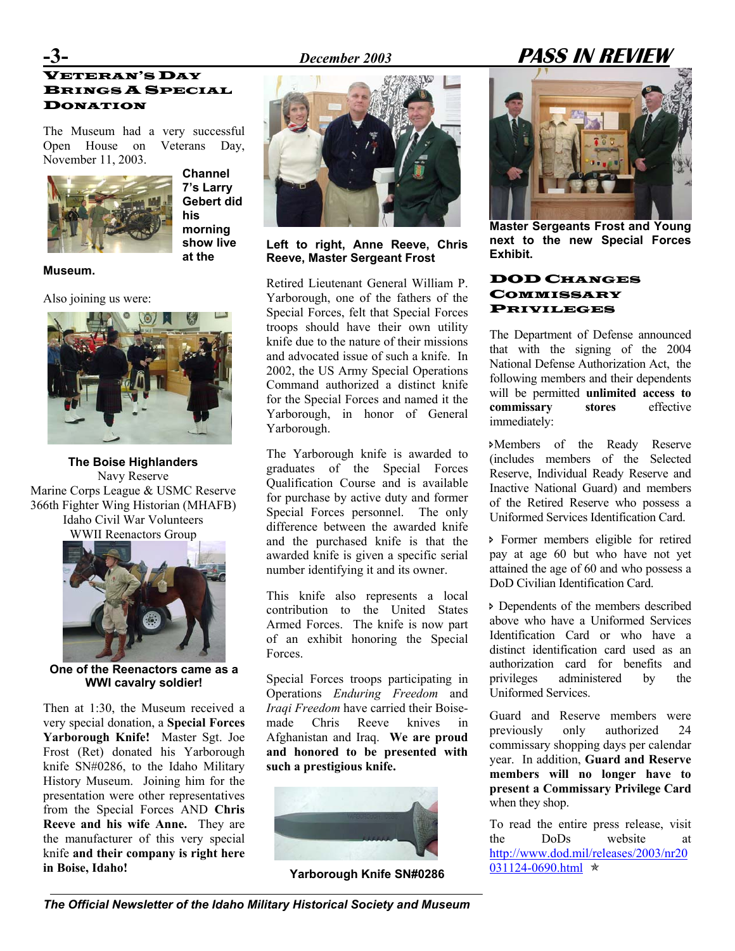# **-3-** *December 2003* **PASS IN REVIEW**

### VETERAN'S DAY BRINGS A SPECIAL DONATION

The Museum had a very successful Open House on Veterans Day, November 11, 2003.



**Channel 7's Larry Gebert did his morning show live at the** 

**Museum.** 

Also joining us were:



**The Boise Highlanders** Navy Reserve Marine Corps League & USMC Reserve 366th Fighter Wing Historian (MHAFB) Idaho Civil War Volunteers



**One of the Reenactors came as a** 

Then at 1:30, the Museum received a very special donation, a **Special Forces Yarborough Knife!** Master Sgt. Joe Frost (Ret) donated his Yarborough knife SN#0286, to the Idaho Military History Museum. Joining him for the presentation were other representatives from the Special Forces AND **Chris Reeve and his wife Anne.** They are the manufacturer of this very special knife **and their company is right here in Boise, Idaho!**



**Left to right, Anne Reeve, Chris and Dext to Legate to Exhibit. Reeve, Master Sergeant Frost** 

Retired Lieutenant General William P. Yarborough, one of the fathers of the Special Forces, felt that Special Forces troops should have their own utility knife due to the nature of their missions and advocated issue of such a knife. In 2002, the US Army Special Operations Command authorized a distinct knife for the Special Forces and named it the Yarborough, in honor of General Yarborough.

The Yarborough knife is awarded to graduates of the Special Forces Qualification Course and is available for purchase by active duty and former Special Forces personnel. The only difference between the awarded knife WWII Reenactors Group and the purchased knife is that the > Former members eligible for retired awarded knife is given a specific serial number identifying it and its owner.

> This knife also represents a local contribution to the United States Armed Forces. The knife is now part of an exhibit honoring the Special Forces.

**WWI cavalry soldier!** Special Forces troops participating in Operations *Enduring Freedom* and *Iraqi Freedom* have carried their Boisemade Chris Reeve knives in Afghanistan and Iraq. **We are proud and honored to be presented with such a prestigious knife.** 



Yarborough Knife SN#0286



**Master Sergeants Frost and Young next to the new Special Forces**

#### DOD CHANGES **COMMISSARY** PRIVILEGES

The Department of Defense announced that with the signing of the 2004 National Defense Authorization Act, the following members and their dependents will be permitted **unlimited access to commissary stores** effective immediately:

ÐMembers of the Ready Reserve (includes members of the Selected Reserve, Individual Ready Reserve and Inactive National Guard) and members of the Retired Reserve who possess a Uniformed Services Identification Card.

pay at age 60 but who have not yet attained the age of 60 and who possess a DoD Civilian Identification Card.

Ð Dependents of the members described above who have a Uniformed Services Identification Card or who have a distinct identification card used as an authorization card for benefits and privileges administered by the Uniformed Services.

Guard and Reserve members were previously only authorized 24 commissary shopping days per calendar year. In addition, **Guard and Reserve members will no longer have to present a Commissary Privilege Card** when they shop.

To read the entire press release, visit the DoDs website at [http://www.dod.mil/releases/2003/nr20](http://www.dod.mil/releases/2003/nr20031124-0690.html)<br>031124-0690.html  $\star$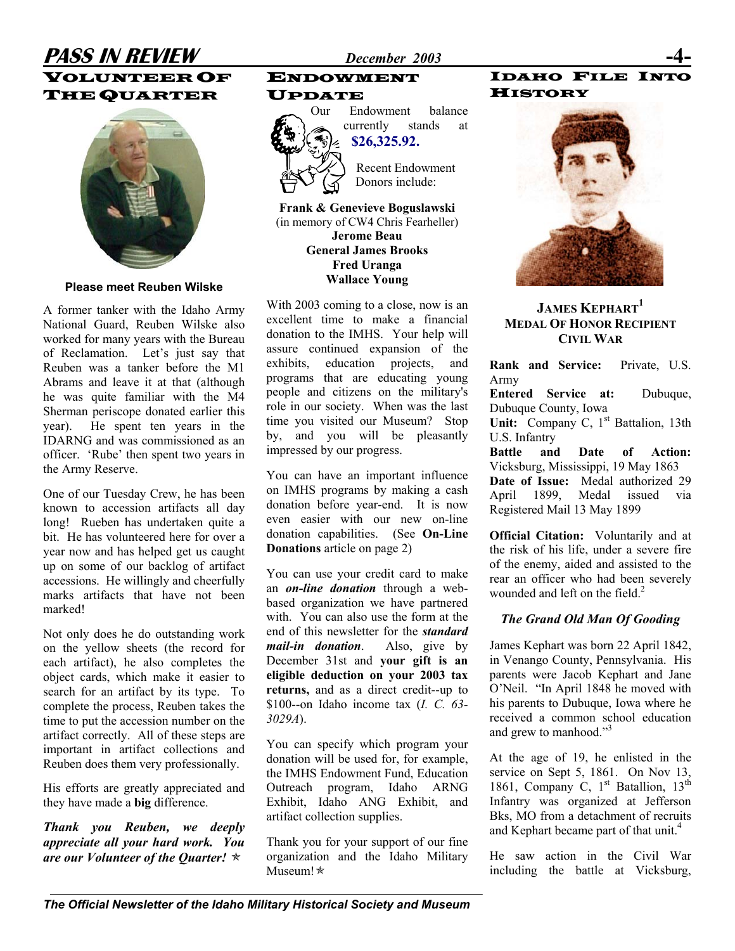### **PASS IN REVIEW** *December 2003* VOLUNTEER OF THE QUARTER



A former tanker with the Idaho Army National Guard, Reuben Wilske also worked for many years with the Bureau of Reclamation. Let's just say that Reuben was a tanker before the M1 Abrams and leave it at that (although he was quite familiar with the M4 Sherman periscope donated earlier this year). He spent ten years in the IDARNG and was commissioned as an officer. 'Rube' then spent two years in the Army Reserve.

One of our Tuesday Crew, he has been known to accession artifacts all day long! Rueben has undertaken quite a bit. He has volunteered here for over a year now and has helped get us caught up on some of our backlog of artifact accessions. He willingly and cheerfully marks artifacts that have not been marked!

Not only does he do outstanding work on the yellow sheets (the record for each artifact), he also completes the object cards, which make it easier to search for an artifact by its type. To complete the process, Reuben takes the time to put the accession number on the artifact correctly. All of these steps are important in artifact collections and Reuben does them very professionally.

His efforts are greatly appreciated and they have made a **big** difference.

*Thank you Reuben, we deeply appreciate all your hard work. You are our Volunteer of the Quarter!*  $\star$ 

### ENDOWMENT

#### UPDATE



Our Endowment balance currently stands at **\$26,325.92.**

> Recent Endowment Donors include:

**Frank & Genevieve Boguslawski**  (in memory of CW4 Chris Fearheller) **Jerome Beau General James Brooks Fred Uranga Wallace Young Please meet Reuben Wilske** 

> With 2003 coming to a close, now is an  $J$ **AMES KEPHART**<sup>[1](#page--1-0)</sup> excellent time to make a financial donation to the IMHS. Your help will assure continued expansion of the exhibits, education projects, and programs that are educating young people and citizens on the military's role in our society. When was the last time you visited our Museum? Stop by, and you will be pleasantly impressed by our progress.

You can have an important influence on IMHS programs by making a cash donation before year-end. It is now even easier with our new on-line donation capabilities. (See **On-Line Donations** article on page 2)

You can use your credit card to make an *on-line donation* through a webbased organization we have partnered with. You can also use the form at the end of this newsletter for the *standard mail-in donation*. Also, give by December 31st and **your gift is an eligible deduction on your 2003 tax returns,** and as a direct credit--up to \$100--on Idaho income tax (*I. C. 63- 3029A*).

You can specify which program your donation will be used for, for example, the IMHS Endowment Fund, Education Outreach program, Idaho ARNG Exhibit, Idaho ANG Exhibit, and artifact collection supplies.

Thank you for your support of our fine organization and the Idaho Military Museum! $\star$ 

#### IDAHO FILE INTO **HISTORY**



# **MEDAL OF HONOR RECIPIENT CIVIL WAR**

**Rank and Service:** Private, U.S. Army **Entered Service at:** Dubuque,

Dubuque County, Iowa

Unit: Company C, 1<sup>st</sup> Battalion, 13th U.S. Infantry

**Battle and Date of Action:** Vicksburg, Mississippi, 19 May 1863 **Date of Issue:** Medal authorized 29 April 1899, Medal issued via Registered Mail 13 May 1899

**Official Citation:** Voluntarily and at the risk of his life, under a severe fire of the enemy, aided and assisted to the rear an officer who had been severely wounded and left on the field.<sup>2</sup>

#### *The Grand Old Man Of Gooding*

James Kephart was born 22 April 1842, in Venango County, Pennsylvania. His parents were Jacob Kephart and Jane O'Neil. "In April 1848 he moved with his parents to Dubuque, Iowa where he received a common school education and grew to manhood."<sup>3</sup>

At the age of 19, he enlisted in the service on Sept 5, 1861. On Nov 13, 1861, Company C,  $1<sup>st</sup>$  Batallion,  $13<sup>th</sup>$ Infantry was organized at Jefferson Bks. MO from a detachment of recruits and Kephart became part of that unit. [4](#page--1-3)

He saw action in the Civil War including the battle at Vicksburg,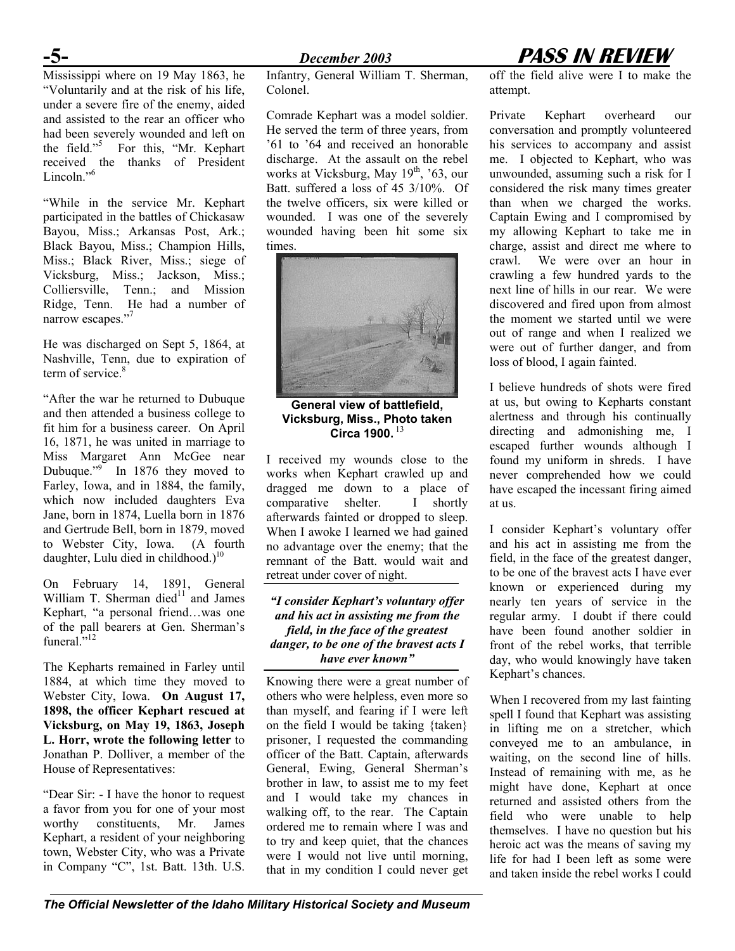Mississippi where on 19 May 1863, he "Voluntarily and at the risk of his life, under a severe fire of the enemy, aided and assisted to the rear an officer who had been severely wounded and left on the field."[5](#page--1-4) For this, "Mr. Kephart received the thanks of President Lincoln."<sup>6</sup>

"While in the service Mr. Kephart participated in the battles of Chickasaw Bayou, Miss.; Arkansas Post, Ark.; Black Bayou, Miss.; Champion Hills, Miss.; Black River, Miss.; siege of Vicksburg, Miss.; Jackson, Miss.; Colliersville, Tenn.; and Mission Ridge, Tenn. He had a number of narrow escapes."<sup>[7](#page--1-6)</sup>

He was discharged on Sept 5, 1864, at Nashville, Tenn, due to expiration of term of service.<sup>8</sup>

"After the war he returned to Dubuque and then attended a business college to fit him for a business career. On April 16, 1871, he was united in marriage to Miss Margaret Ann McGee near Dubuque."<sup>[9](#page--1-8)</sup> In 1876 they moved to Farley, Iowa, and in 1884, the family, which now included daughters Eva Jane, born in 1874, Luella born in 1876 and Gertrude Bell, born in 1879, moved to Webster City, Iowa. (A fourth daughter, Lulu died in childhood.)<sup>[10](#page--1-9)</sup>

On February 14, 1891, General William T. Sherman died $11$  and James Kephart, "a personal friend…was one of the pall bearers at Gen. Sherman's funeral."<sup>12</sup>

The Kepharts remained in Farley until 1884, at which time they moved to Webster City, Iowa. **On August 17, 1898, the officer Kephart rescued at Vicksburg, on May 19, 1863, Joseph L. Horr, wrote the following letter** to Jonathan P. Dolliver, a member of the House of Representatives:

"Dear Sir: - I have the honor to request a favor from you for one of your most worthy constituents, Mr. James Kephart, a resident of your neighboring town, Webster City, who was a Private in Company "C", 1st. Batt. 13th. U.S.

Infantry, General William T. Sherman, Colonel.

Comrade Kephart was a model soldier. He served the term of three years, from '61 to '64 and received an honorable discharge. At the assault on the rebel works at Vicksburg, May  $19<sup>th</sup>$ , '63, our Batt. suffered a loss of 45 3/10%. Of the twelve officers, six were killed or wounded. I was one of the severely wounded having been hit some six times.



**General view of battlefield, Vicksburg, Miss., Photo taken Circa 1900.** [13](#page--1-12)

I received my wounds close to the works when Kephart crawled up and dragged me down to a place of comparative shelter. I shortly afterwards fainted or dropped to sleep. When I awoke I learned we had gained no advantage over the enemy; that the remnant of the Batt. would wait and retreat under cover of night.

*"I consider Kephart's voluntary offer and his act in assisting me from the field, in the face of the greatest danger, to be one of the bravest acts I have ever known"*

Knowing there were a great number of others who were helpless, even more so than myself, and fearing if I were left on the field I would be taking {taken} prisoner, I requested the commanding officer of the Batt. Captain, afterwards General, Ewing, General Sherman's brother in law, to assist me to my feet and I would take my chances in walking off, to the rear. The Captain ordered me to remain where I was and to try and keep quiet, that the chances were I would not live until morning, that in my condition I could never get

# **-5-** *December 2003* **PASS IN REVIEW**

off the field alive were I to make the attempt.

Private Kephart overheard our conversation and promptly volunteered his services to accompany and assist me. I objected to Kephart, who was unwounded, assuming such a risk for I considered the risk many times greater than when we charged the works. Captain Ewing and I compromised by my allowing Kephart to take me in charge, assist and direct me where to crawl. We were over an hour in crawling a few hundred yards to the next line of hills in our rear. We were discovered and fired upon from almost the moment we started until we were out of range and when I realized we were out of further danger, and from loss of blood, I again fainted.

I believe hundreds of shots were fired at us, but owing to Kepharts constant alertness and through his continually directing and admonishing me, I escaped further wounds although I found my uniform in shreds. I have never comprehended how we could have escaped the incessant firing aimed at us.

I consider Kephart's voluntary offer and his act in assisting me from the field, in the face of the greatest danger, to be one of the bravest acts I have ever known or experienced during my nearly ten years of service in the regular army. I doubt if there could have been found another soldier in front of the rebel works, that terrible day, who would knowingly have taken Kephart's chances.

When I recovered from my last fainting spell I found that Kephart was assisting in lifting me on a stretcher, which conveyed me to an ambulance, in waiting, on the second line of hills. Instead of remaining with me, as he might have done, Kephart at once returned and assisted others from the field who were unable to help themselves. I have no question but his heroic act was the means of saving my life for had I been left as some were and taken inside the rebel works I could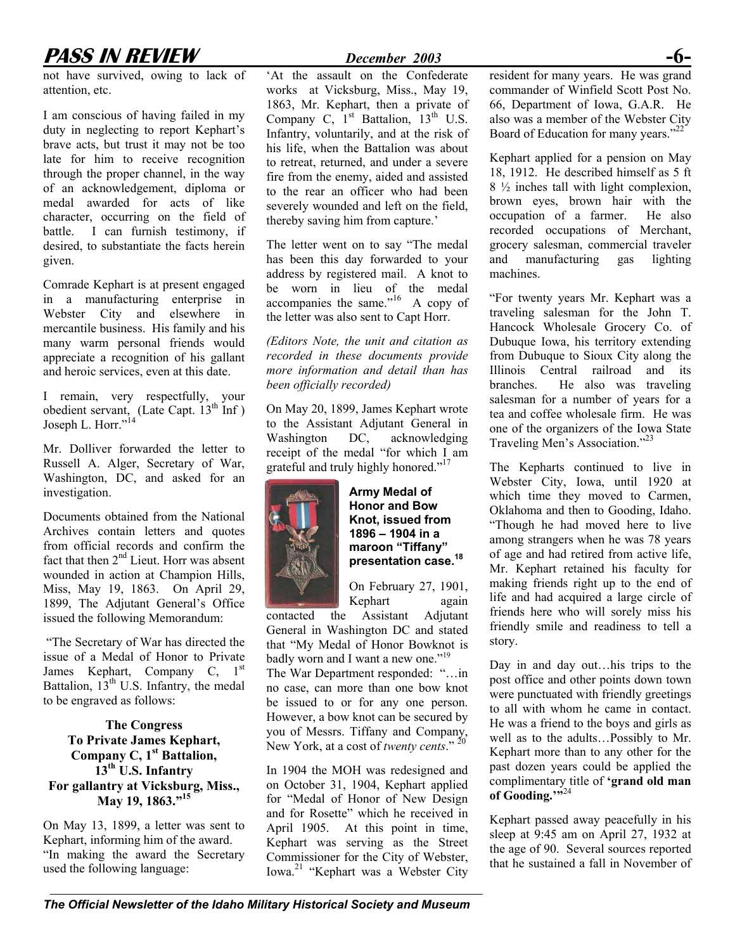# **PASS IN REVIEW** *December 2003*

not have survived, owing to lack of attention, etc.

I am conscious of having failed in my duty in neglecting to report Kephart's brave acts, but trust it may not be too late for him to receive recognition through the proper channel, in the way of an acknowledgement, diploma or medal awarded for acts of like character, occurring on the field of battle. I can furnish testimony, if desired, to substantiate the facts herein given.

Comrade Kephart is at present engaged in a manufacturing enterprise in Webster City and elsewhere in mercantile business. His family and his many warm personal friends would appreciate a recognition of his gallant and heroic services, even at this date.

I remain, very respectfully, your obedient servant, (Late Capt. 13<sup>th</sup> Inf) Joseph L. Horr."<sup>14</sup>

Mr. Dolliver forwarded the letter to Russell A. Alger, Secretary of War, Washington, DC, and asked for an investigation.

Documents obtained from the National Archives contain letters and quotes from official records and confirm the fact that then  $2<sup>nd</sup>$  Lieut. Horr was absent wounded in action at Champion Hills, Miss, May 19, 1863. On April 29, 1899, The Adjutant General's Office issued the following Memorandum:

"The Secretary of War has directed the issue of a Medal of Honor to Private James Kephart, Company C, 1<sup>st</sup> Battalion,  $13<sup>th</sup>$  U.S. Infantry, the medal to be engraved as follows:

**The Congress To Private James Kephart, Company C, 1st Battalion, 13th U.S. Infantry For gallantry at Vicksburg, Miss., May 19, 1863."[15](#page--1-14)**

On May 13, 1899, a letter was sent to Kephart, informing him of the award. "In making the award the Secretary used the following language:

'At the assault on the Confederate works at Vicksburg, Miss., May 19, 1863, Mr. Kephart, then a private of Company C,  $1<sup>st</sup>$  Battalion,  $13<sup>th</sup>$  U.S. Infantry, voluntarily, and at the risk of his life, when the Battalion was about to retreat, returned, and under a severe fire from the enemy, aided and assisted to the rear an officer who had been severely wounded and left on the field, thereby saving him from capture.'

The letter went on to say "The medal has been this day forwarded to your address by registered mail. A knot to be worn in lieu of the medal accompanies the same." $16$  A copy of the letter was also sent to Capt Horr.

*(Editors Note, the unit and citation as recorded in these documents provide more information and detail than has been officially recorded)*

On May 20, 1899, James Kephart wrote to the Assistant Adjutant General in Washington DC, acknowledging receipt of the medal "for which I am grateful and truly highly honored."<sup>17</sup>



**Army Medal of Honor and Bow Knot, issued from 1896 – 1904 in a maroon "Tiffany" presentation case.[18](#page--1-17)**

On February 27, 1901, Kephart again

contacted the Assistant Adjutant General in Washington DC and stated that "My Medal of Honor Bowknot is badly worn and I want a new one."<sup>19</sup>

The War Department responded: "…in no case, can more than one bow knot be issued to or for any one person. However, a bow knot can be secured by you of Messrs. Tiffany and Company, New York, at a cost of *twenty cents*." [20](#page--1-19) 

In 1904 the MOH was redesigned and on October 31, 1904, Kephart applied for "Medal of Honor of New Design and for Rosette" which he received in April 1905. At this point in time, Kephart was serving as the Street Commissioner for the City of Webster, Iowa.[21](#page--1-20) "Kephart was a Webster City

resident for many years. He was grand commander of Winfield Scott Post No. 66, Department of Iowa, G.A.R. He also was a member of the Webster City Board of Education for many years."<sup>22</sup>

Kephart applied for a pension on May 18, 1912. He described himself as 5 ft 8 ½ inches tall with light complexion, brown eyes, brown hair with the occupation of a farmer. He also recorded occupations of Merchant, grocery salesman, commercial traveler and manufacturing gas lighting machines.

"For twenty years Mr. Kephart was a traveling salesman for the John T. Hancock Wholesale Grocery Co. of Dubuque Iowa, his territory extending from Dubuque to Sioux City along the Illinois Central railroad and its branches. He also was traveling salesman for a number of years for a tea and coffee wholesale firm. He was one of the organizers of the Iowa State Traveling Men's Association."<sup>23</sup>

The Kepharts continued to live in Webster City, Iowa, until 1920 at which time they moved to Carmen, Oklahoma and then to Gooding, Idaho. "Though he had moved here to live among strangers when he was 78 years of age and had retired from active life, Mr. Kephart retained his faculty for making friends right up to the end of life and had acquired a large circle of friends here who will sorely miss his friendly smile and readiness to tell a story.

Day in and day out…his trips to the post office and other points down town were punctuated with friendly greetings to all with whom he came in contact. He was a friend to the boys and girls as well as to the adults…Possibly to Mr. Kephart more than to any other for the past dozen years could be applied the complimentary title of **'grand old man** of Gooding."<sup>324</sup>

Kephart passed away peacefully in his sleep at 9:45 am on April 27, 1932 at the age of 90. Several sources reported that he sustained a fall in November of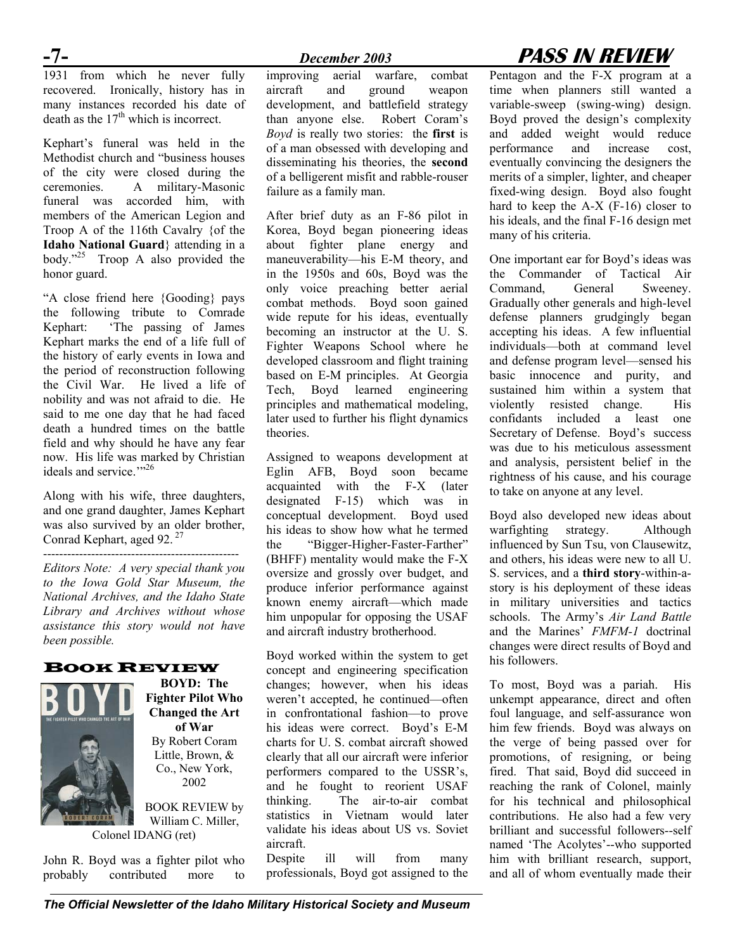### 1931 from which he never fully recovered. Ironically, history has in many instances recorded his date of death as the  $17<sup>th</sup>$  which is incorrect.

Kephart's funeral was held in the Methodist church and "business houses of the city were closed during the ceremonies. A military-Masonic funeral was accorded him, with members of the American Legion and Troop A of the 116th Cavalry {of the **Idaho National Guard**} attending in a body."<sup>25</sup> Troop A also provided the honor guard.

"A close friend here {Gooding} pays the following tribute to Comrade Kephart: 'The passing of James Kephart marks the end of a life full of the history of early events in Iowa and the period of reconstruction following the Civil War. He lived a life of nobility and was not afraid to die. He said to me one day that he had faced death a hundred times on the battle field and why should he have any fear now. His life was marked by Christian ideals and service."<sup>26</sup>

Along with his wife, three daughters, and one grand daughter, James Kephart was also survived by an older brother, Conrad Kephart, aged 92.<sup>27</sup>

*Editors Note: A very special thank you to the Iowa Gold Star Museum, the National Archives, and the Idaho State Library and Archives without whose assistance this story would not have been possible.* 

### BOOK REVIEW



-------------------------------------------------

**BOYD: The Fighter Pilot Who Changed the Art of War**  By Robert Coram Little, Brown, & Co., New York, 2002

BOOK REVIEW by William C. Miller,

Colonel IDANG (ret)

John R. Boyd was a fighter pilot who probably contributed more to

improving aerial warfare, combat aircraft and ground weapon development, and battlefield strategy than anyone else. Robert Coram's *Boyd* is really two stories: the **first** is of a man obsessed with developing and disseminating his theories, the **second**  of a belligerent misfit and rabble-rouser failure as a family man.

After brief duty as an F-86 pilot in Korea, Boyd began pioneering ideas about fighter plane energy and maneuverability—his E-M theory, and in the 1950s and 60s, Boyd was the only voice preaching better aerial combat methods. Boyd soon gained wide repute for his ideas, eventually becoming an instructor at the U. S. Fighter Weapons School where he developed classroom and flight training based on E-M principles. At Georgia Tech, Boyd learned engineering principles and mathematical modeling, later used to further his flight dynamics theories.

Assigned to weapons development at Eglin AFB, Boyd soon became acquainted with the F-X (later designated F-15) which was in conceptual development. Boyd used his ideas to show how what he termed the "Bigger-Higher-Faster-Farther" (BHFF) mentality would make the F-X oversize and grossly over budget, and produce inferior performance against known enemy aircraft—which made him unpopular for opposing the USAF and aircraft industry brotherhood.

Boyd worked within the system to get concept and engineering specification changes; however, when his ideas weren't accepted, he continued—often in confrontational fashion—to prove his ideas were correct. Boyd's E-M charts for U. S. combat aircraft showed clearly that all our aircraft were inferior performers compared to the USSR's, and he fought to reorient USAF thinking. The air-to-air combat statistics in Vietnam would later validate his ideas about US vs. Soviet aircraft.

Despite ill will from many professionals, Boyd got assigned to the

# **-7-** *December 2003* **PASS IN REVIEW**

Pentagon and the F-X program at a time when planners still wanted a variable-sweep (swing-wing) design. Boyd proved the design's complexity and added weight would reduce performance and increase cost, eventually convincing the designers the merits of a simpler, lighter, and cheaper fixed-wing design. Boyd also fought hard to keep the A-X (F-16) closer to his ideals, and the final F-16 design met many of his criteria.

One important ear for Boyd's ideas was the Commander of Tactical Air Command, General Sweeney. Gradually other generals and high-level defense planners grudgingly began accepting his ideas. A few influential individuals—both at command level and defense program level—sensed his basic innocence and purity, and sustained him within a system that violently resisted change. His confidants included a least one Secretary of Defense. Boyd's success was due to his meticulous assessment and analysis, persistent belief in the rightness of his cause, and his courage to take on anyone at any level.

Boyd also developed new ideas about warfighting strategy. Although influenced by Sun Tsu, von Clausewitz, and others, his ideas were new to all U. S. services, and a **third story**-within-astory is his deployment of these ideas in military universities and tactics schools. The Army's *Air Land Battle* and the Marines' *FMFM-1* doctrinal changes were direct results of Boyd and his followers.

To most, Boyd was a pariah. His unkempt appearance, direct and often foul language, and self-assurance won him few friends. Boyd was always on the verge of being passed over for promotions, of resigning, or being fired. That said, Boyd did succeed in reaching the rank of Colonel, mainly for his technical and philosophical contributions. He also had a few very brilliant and successful followers--self named 'The Acolytes'--who supported him with brilliant research, support, and all of whom eventually made their